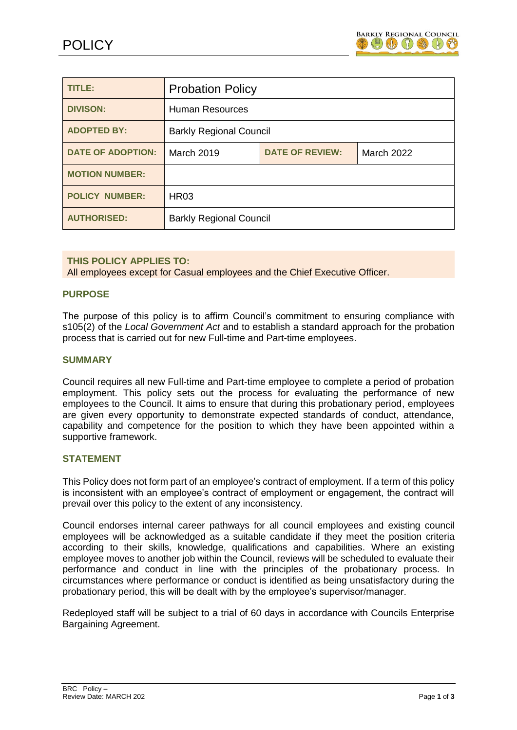

| TITLE:                   | <b>Probation Policy</b>        |                        |                   |
|--------------------------|--------------------------------|------------------------|-------------------|
| <b>DIVISON:</b>          | <b>Human Resources</b>         |                        |                   |
| <b>ADOPTED BY:</b>       | <b>Barkly Regional Council</b> |                        |                   |
| <b>DATE OF ADOPTION:</b> | <b>March 2019</b>              | <b>DATE OF REVIEW:</b> | <b>March 2022</b> |
| <b>MOTION NUMBER:</b>    |                                |                        |                   |
| <b>POLICY NUMBER:</b>    | <b>HR03</b>                    |                        |                   |
| <b>AUTHORISED:</b>       | <b>Barkly Regional Council</b> |                        |                   |

## **THIS POLICY APPLIES TO:**

All employees except for Casual employees and the Chief Executive Officer.

#### **PURPOSE**

The purpose of this policy is to affirm Council's commitment to ensuring compliance with s105(2) of the *Local Government Act* and to establish a standard approach for the probation process that is carried out for new Full-time and Part-time employees.

#### **SUMMARY**

Council requires all new Full-time and Part-time employee to complete a period of probation employment. This policy sets out the process for evaluating the performance of new employees to the Council. It aims to ensure that during this probationary period, employees are given every opportunity to demonstrate expected standards of conduct, attendance, capability and competence for the position to which they have been appointed within a supportive framework.

#### **STATEMENT**

This Policy does not form part of an employee's contract of employment. If a term of this policy is inconsistent with an employee's contract of employment or engagement, the contract will prevail over this policy to the extent of any inconsistency.

Council endorses internal career pathways for all council employees and existing council employees will be acknowledged as a suitable candidate if they meet the position criteria according to their skills, knowledge, qualifications and capabilities. Where an existing employee moves to another job within the Council, reviews will be scheduled to evaluate their performance and conduct in line with the principles of the probationary process. In circumstances where performance or conduct is identified as being unsatisfactory during the probationary period, this will be dealt with by the employee's supervisor/manager.

Redeployed staff will be subject to a trial of 60 days in accordance with Councils Enterprise Bargaining Agreement.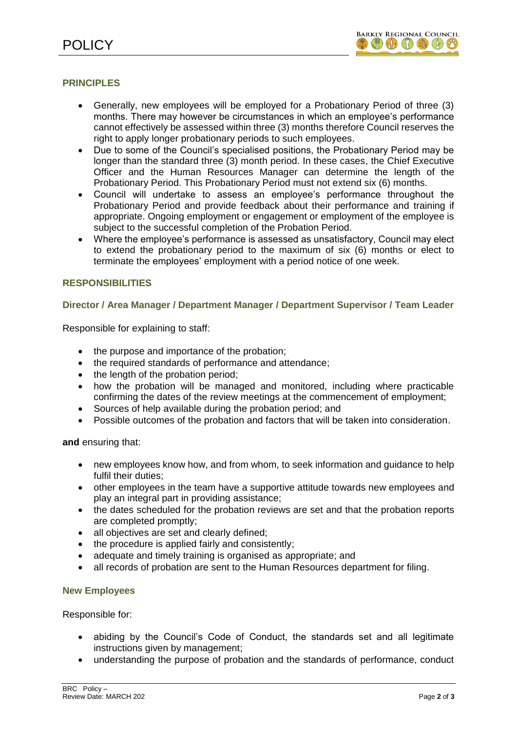# **PRINCIPLES**

- Generally, new employees will be employed for a Probationary Period of three (3) months. There may however be circumstances in which an employee's performance cannot effectively be assessed within three (3) months therefore Council reserves the right to apply longer probationary periods to such employees.
- Due to some of the Council's specialised positions, the Probationary Period may be longer than the standard three (3) month period. In these cases, the Chief Executive Officer and the Human Resources Manager can determine the length of the Probationary Period. This Probationary Period must not extend six (6) months.
- Council will undertake to assess an employee's performance throughout the Probationary Period and provide feedback about their performance and training if appropriate. Ongoing employment or engagement or employment of the employee is subject to the successful completion of the Probation Period.
- Where the employee's performance is assessed as unsatisfactory, Council may elect to extend the probationary period to the maximum of six (6) months or elect to terminate the employees' employment with a period notice of one week.

## **RESPONSIBILITIES**

## **Director / Area Manager / Department Manager / Department Supervisor / Team Leader**

Responsible for explaining to staff:

- the purpose and importance of the probation;
- the required standards of performance and attendance;
- the length of the probation period;
- how the probation will be managed and monitored, including where practicable confirming the dates of the review meetings at the commencement of employment;
- Sources of help available during the probation period; and
- Possible outcomes of the probation and factors that will be taken into consideration.

**and** ensuring that:

- new employees know how, and from whom, to seek information and guidance to help fulfil their duties;
- other employees in the team have a supportive attitude towards new employees and play an integral part in providing assistance;
- the dates scheduled for the probation reviews are set and that the probation reports are completed promptly;
- all objectives are set and clearly defined:
- the procedure is applied fairly and consistently;
- adequate and timely training is organised as appropriate; and
- all records of probation are sent to the Human Resources department for filing.

#### **New Employees**

Responsible for:

- abiding by the Council's Code of Conduct, the standards set and all legitimate instructions given by management;
- understanding the purpose of probation and the standards of performance, conduct